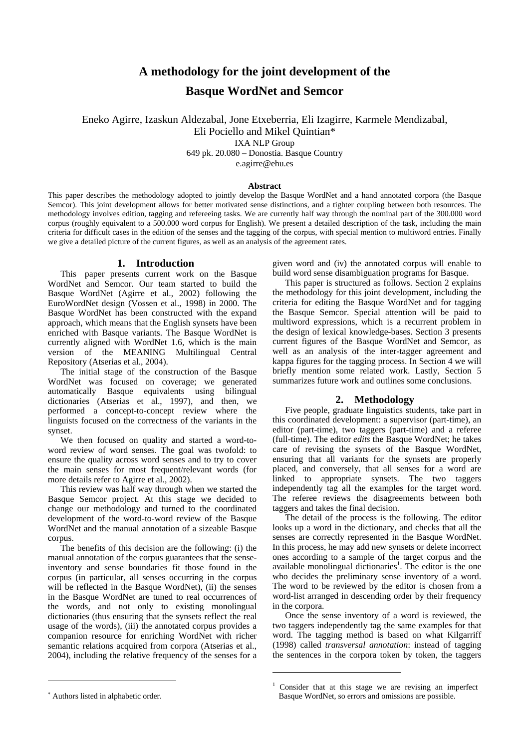# **A methodology for the joint development of the Basque WordNet and Semcor**

Eneko Agirre, Izaskun Aldezabal, Jone Etxeberria, Eli Izagirre, Karmele Mendizabal, Eli Pociello and Mikel Quintian\* IXA NLP Group 649 pk. 20.080 – Donostia. Basque Country

e.agirre@ehu.es

# **Abstract**

This paper describes the methodology adopted to jointly develop the Basque WordNet and a hand annotated corpora (the Basque Semcor). This joint development allows for better motivated sense distinctions, and a tighter coupling between both resources. The methodology involves edition, tagging and refereeing tasks. We are currently half way through the nominal part of the 300.000 word corpus (roughly equivalent to a 500.000 word corpus for English). We present a detailed description of the task, including the main criteria for difficult cases in the edition of the senses and the tagging of the corpus, with special mention to multiword entries. Finally we give a detailed picture of the current figures, as well as an analysis of the agreement rates.

# **1. Introduction**

Thispaper presents current work on the Basque WordNet and Semcor. Our team started to build the Basque WordNet (Agirre et al., 2002) following the EuroWordNet design (Vossen et al., 1998) in 2000. The Basque WordNet has been constructed with the expand approach, which means that the English synsets have been enriched with Basque variants. The Basque WordNet is currently aligned with WordNet 1.6, which is the main version of the MEANING Multilingual Central Repository (Atserias et al., 2004).

The initial stage of the construction of the Basque WordNet was focused on coverage; we generated automatically Basque equivalents using bilingual dictionaries (Atserias et al., 1997), and then, we performed a concept-to-concept review where the linguists focused on the correctness of the variants in the synset.

We then focused on quality and started a word-toword review of word senses. The goal was twofold: to ensure the quality across word senses and to try to cover the main senses for most frequent/relevant words (for more details refer to Agirre et al., 2002).

This review was half way through when we started the Basque Semcor project. At this stage we decided to change our methodology and turned to the coordinated development of the word-to-word review of the Basque WordNet and the manual annotation of a sizeable Basque corpus.

The benefits of this decision are the following: (i) the manual annotation of the corpus guarantees that the senseinventory and sense boundaries fit those found in the corpus (in particular, all senses occurring in the corpus will be reflected in the Basque WordNet), (ii) the senses in the Basque WordNet are tuned to real occurrences of the words, and not only to existing monolingual dictionaries (thus ensuring that the synsets reflect the real usage of the words), (iii) the annotated corpus provides a companion resource for enriching WordNet with richer semantic relations acquired from corpora (Atserias et al., 2004), including the relative frequency of the senses for a

given word and (iv) the annotated corpus will enable to build word sense disambiguation programs for Basque.

This paper is structured as follows. Section 2 explains the methodology for this joint development, including the criteria for editing the Basque WordNet and for tagging the Basque Semcor. Special attention will be paid to multiword expressions, which is a recurrent problem in the design of lexical knowledge-bases. Section 3 presents current figures of the Basque WordNet and Semcor, as well as an analysis of the inter-tagger agreement and kappa figures for the tagging process. In Section 4 we will briefly mention some related work. Lastly, Section 5 summarizes future work and outlines some conclusions.

# **2. Methodology**

Five people, graduate linguistics students, take part in this coordinated development: a supervisor (part-time), an editor (part-time), two taggers (part-time) and a referee (full-time). The editor *edits* the Basque WordNet; he takes care of revising the synsets of the Basque WordNet, ensuring that all variants for the synsets are properly placed, and conversely, that all senses for a word are linked to appropriate synsets. The two taggers independently tag all the examples for the target word. The referee reviews the disagreements between both taggers and takes the final decision.

The detail of the process is the following. The editor looks up a word in the dictionary, and checks that all the senses are correctly represented in the Basque WordNet. In this process, he may add new synsets or delete incorrect ones according to a sample of the target corpus and the available monolingual dictionaries<sup>[1](#page-0-1)</sup>. The editor is the one who decides the preliminary sense inventory of a word. The word to be reviewed by the editor is chosen from a word-list arranged in descending order by their frequency in the corpora.

Once the sense inventory of a word is reviewed, the two taggers independently tag the same examples for that word. The tagging method is based on what Kilgarriff (1998) called *transversal annotation*: instead of tagging the sentences in the corpora token by token, the taggers

 $\overline{a}$ 

<span id="page-0-0"></span><sup>∗</sup> Authors listed in alphabetic order.

<span id="page-0-1"></span><sup>&</sup>lt;sup>1</sup> Consider that at this stage we are revising an imperfect Basque WordNet, so errors and omissions are possible.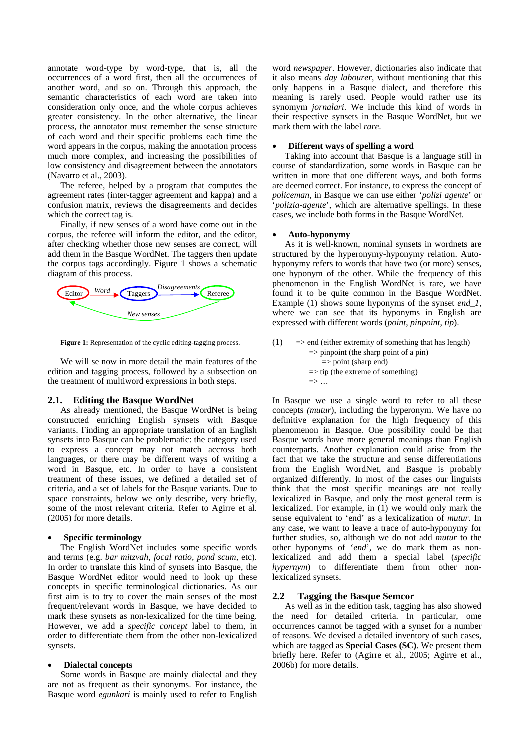annotate word-type by word-type, that is, all the occurrences of a word first, then all the occurrences of another word, and so on. Through this approach, the semantic characteristics of each word are taken into consideration only once, and the whole corpus achieves greater consistency. In the other alternative, the linear process, the annotator must remember the sense structure of each word and their specific problems each time the word appears in the corpus, making the annotation process much more complex, and increasing the possibilities of low consistency and disagreement between the annotators (Navarro et al., 2003).

The referee, helped by a program that computes the agreement rates (inter-tagger agreement and kappa) and a confusion matrix, reviews the disagreements and decides which the correct tag is.

Finally, if new senses of a word have come out in the corpus, the referee will inform the editor, and the editor, after checking whether those new senses are correct, will add them in the Basque WordNet. The taggers then update the corpus tags accordingly. Figure 1 shows a schematic diagram of this process.



**Figure 1:** Representation of the cyclic editing-tagging process.

We will se now in more detail the main features of the edition and tagging process, followed by a subsection on the treatment of multiword expressions in both steps.

#### **2.1. Editing the Basque WordNet**

As already mentioned, the Basque WordNet is being constructed enriching English synsets with Basque variants. Finding an appropriate translation of an English synsets into Basque can be problematic: the category used to express a concept may not match accross both languages, or there may be different ways of writing a word in Basque, etc. In order to have a consistent treatment of these issues, we defined a detailed set of criteria, and a set of labels for the Basque variants. Due to space constraints, below we only describe, very briefly, some of the most relevant criteria. Refer to Agirre et al. (2005) for more details.

#### • **Specific terminology**

The English WordNet includes some specific words and terms (e.g. *bar mitzvah, focal ratio, pond scum,* etc). In order to translate this kind of synsets into Basque, the Basque WordNet editor would need to look up these concepts in specific terminological dictionaries. As our first aim is to try to cover the main senses of the most frequent/relevant words in Basque, we have decided to mark these synsets as non-lexicalized for the time being. However, we add a *specific concept* label to them, in order to differentiate them from the other non-lexicalized synsets.

#### • **Dialectal concepts**

Some words in Basque are mainly dialectal and they are not as frequent as their synonyms. For instance, the Basque word *egunkari* is mainly used to refer to English

word *newspaper*. However, dictionaries also indicate that it also means *day labourer*, without mentioning that this only happens in a Basque dialect, and therefore this meaning is rarely used. People would rather use its synomym *jornalari*. We include this kind of words in their respective synsets in the Basque WordNet, but we mark them with the label *rare*.

#### • **Different ways of spelling a word**

Taking into account that Basque is a language still in course of standardization, some words in Basque can be written in more that one different ways, and both forms are deemed correct. For instance, to express the concept of *policeman*, in Basque we can use either '*polizi agente*' or '*polizia-agente*', which are alternative spellings. In these cases, we include both forms in the Basque WordNet.

#### • **Auto-hyponymy**

As it is well-known, nominal synsets in wordnets are structured by the hyperonymy-hyponymy relation. Autohyponymy refers to words that have two (or more) senses, one hyponym of the other. While the frequency of this phenomenon in the English WordNet is rare, we have found it to be quite common in the Basque WordNet. Example (1) shows some hyponyms of the synset *end\_1*, where we can see that its hyponyms in English are expressed with different words (*point*, *pinpoint*, *tip*).

(1) 
$$
\Rightarrow
$$
 end (either extremity of something that has length)  
\n $\Rightarrow$  pimpoint (the sharp point of a pin)  
\n $\Rightarrow$  point (sharp end)  
\n $\Rightarrow$  tip (the extreme of something)  
\n $\Rightarrow$  ...

In Basque we use a single word to refer to all these concepts *(mutur*), including the hyperonym. We have no definitive explanation for the high frequency of this phenomenon in Basque. One possibility could be that Basque words have more general meanings than English counterparts. Another explanation could arise from the fact that we take the structure and sense differentiations from the English WordNet, and Basque is probably organized differently. In most of the cases our linguists think that the most specific meanings are not really lexicalized in Basque, and only the most general term is lexicalized. For example, in (1) we would only mark the sense equivalent to 'end' as a lexicalization of *mutur*. In any case, we want to leave a trace of auto-hyponymy for further studies, so, although we do not add *mutur* to the other hyponyms of '*end*', we do mark them as nonlexicalized and add them a special label (*specific hypernym*) to differentiate them from other nonlexicalized synsets.

#### **2.2 Tagging the Basque Semcor**

As well as in the edition task, tagging has also showed the need for detailed criteria. In particular, ome occurrences cannot be tagged with a synset for a number of reasons. We devised a detailed inventory of such cases, which are tagged as **Special Cases (SC)**. We present them briefly here. Refer to (Agirre et al., 2005; Agirre et al., 2006b) for more details.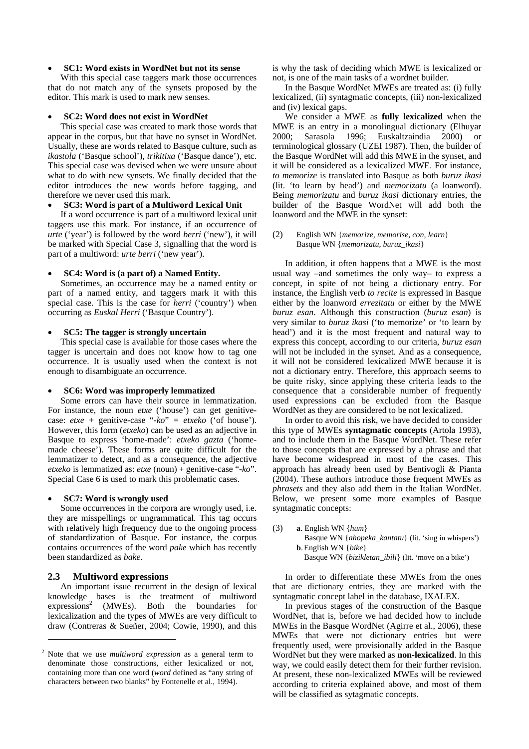## • **SC1: Word exists in WordNet but not its sense**

With this special case taggers mark those occurrences that do not match any of the synsets proposed by the editor. This mark is used to mark new senses.

#### • **SC2: Word does not exist in WordNet**

This special case was created to mark those words that appear in the corpus, but that have no synset in WordNet. Usually, these are words related to Basque culture, such as *ikastola* ('Basque school')*, trikitixa* ('Basque dance')*,* etc. This special case was devised when we were unsure about what to do with new synsets. We finally decided that the editor introduces the new words before tagging, and therefore we never used this mark.

# • **SC3: Word is part of a Multiword Lexical Unit**

If a word occurrence is part of a multiword lexical unit taggers use this mark. For instance, if an occurrence of *urte* ('year') is followed by the word *berri* ('new'), it will be marked with Special Case 3, signalling that the word is part of a multiword: *urte berri* ('new year').

#### • **SC4: Word is (a part of) a Named Entity.**

Sometimes, an occurrence may be a named entity or part of a named entity, and taggers mark it with this special case. This is the case for *herri* ('country') when occurring as *Euskal Herri* ('Basque Country').

#### • **SC5: The tagger is strongly uncertain**

This special case is available for those cases where the tagger is uncertain and does not know how to tag one occurrence. It is usually used when the context is not enough to disambiguate an occurrence.

#### • **SC6: Word was improperly lemmatized**

Some errors can have their source in lemmatization. For instance, the noun *etxe* ('house') can get genitivecase: *etxe +* genitive-case "*-ko*" *= etxeko* ('of house'). However, this form (*etxeko*) can be used as an adjective in Basque to express 'home-made': *etxeko gazta* ('homemade cheese'). These forms are quite difficult for the lemmatizer to detect, and as a consequence, the adjective *etxeko* is lemmatized as: *etxe* (noun) + genitive-case "*-ko*". Special Case 6 is used to mark this problematic cases.

#### • **SC7: Word is wrongly used**

Some occurrences in the corpora are wrongly used, i.e. they are misspellings or ungrammatical. This tag occurs with relatively high frequency due to the ongoing process of standardization of Basque. For instance, the corpus contains occurrences of the word *pake* which has recently been standardized as *bake*.

#### **2.3 Multiword expressions**

 $\overline{a}$ 

An important issue recurrent in the design of lexical knowledge bases is the treatment of multiword expressions<sup>2</sup> (MWEs). Both the boundaries for lexicalization and the types of MWEs are very difficult to draw (Contreras & Sueñer, 2004; Cowie, 1990), and this

is why the task of deciding which MWE is lexicalized or not, is one of the main tasks of a wordnet builder.

In the Basque WordNet MWEs are treated as: (i) fully lexicalized, (ii) syntagmatic concepts, (iii) non-lexicalized and (iv) lexical gaps.

We consider a MWE as **fully lexicalized** when the MWE is an entry in a monolingual dictionary (Elhuyar 2000; Sarasola 1996; Euskaltzaindia 2000) or terminological glossary (UZEI 1987). Then, the builder of the Basque WordNet will add this MWE in the synset, and it will be considered as a lexicalized MWE. For instance, *to memorize* is translated into Basque as both *buruz ikasi* (lit. 'to learn by head') and *memorizatu* (a loanword). Being *memorizatu* and *buruz ikasi* dictionary entries, the builder of the Basque WordNet will add both the loanword and the MWE in the synset:

#### (2) English WN {*memorize, memorise, con, learn*} Basque WN {*memorizatu, buruz\_ikasi*}

In addition, it often happens that a MWE is the most usual way –and sometimes the only way– to express a concept, in spite of not being a dictionary entry. For instance, the English verb *to recite* is expressed in Basque either by the loanword *errezitatu* or either by the MWE *buruz esan*. Although this construction (*buruz esan*) is very similar to *buruz ikasi* ('to memorize' or 'to learn by head') and it is the most frequent and natural way to express this concept, according to our criteria, *buruz esan* will not be included in the synset. And as a consequence, it will not be considered lexicalized MWE because it is not a dictionary entry. Therefore, this approach seems to be quite risky, since applying these criteria leads to the consequence that a considerable number of frequently used expressions can be excluded from the Basque WordNet as they are considered to be not lexicalized.

In order to avoid this risk, we have decided to consider this type of MWEs **syntagmatic concepts** (Artola 1993), and to include them in the Basque WordNet. These refer to those concepts that are expressed by a phrase and that have become widespread in most of the cases. This approach has already been used by Bentivogli & Pianta (2004). These authors introduce those frequent MWEs as *phrasets* and they also add them in the Italian WordNet. Below, we present some more examples of Basque syntagmatic concepts:

(3) **a**. English WN {*hum*} Basque WN {*ahopeka\_kantatu*} (lit. 'sing in whispers') **b**. English WN {*bike*} Basque WN {*bizikletan\_ibili*} (lit. 'move on a bike')

In order to differentiate these MWEs from the ones that are dictionary entries, they are marked with the syntagmatic concept label in the database, IXALEX.

In previous stages of the construction of the Basque WordNet, that is, before we had decided how to include MWEs in the Basque WordNet (Agirre et al., 2006), these MWEs that were not dictionary entries but were frequently used, were provisionally added in the Basque WordNet but they were marked as **non-lexicalized**. In this way, we could easily detect them for their further revision. At present, these non-lexicalized MWEs will be reviewed according to criteria explained above, and most of them will be classified as sytagmatic concepts.

<span id="page-2-0"></span><sup>2</sup> Note that we use *multiword expression* as a general term to denominate those constructions, either lexicalized or not, containing more than one word (*word* defined as "any string of characters between two blanks" by Fontenelle et al., 1994).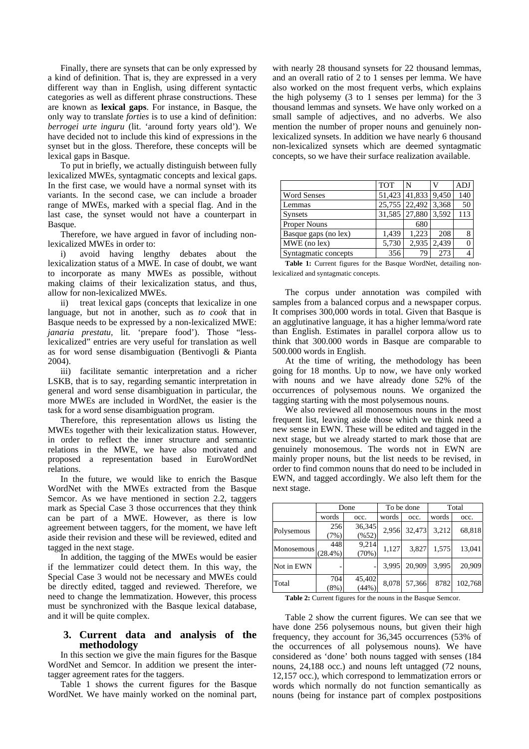Finally, there are synsets that can be only expressed by a kind of definition. That is, they are expressed in a very different way than in English, using different syntactic categories as well as different phrase constructions. These are known as **lexical gaps**. For instance, in Basque, the only way to translate *forties* is to use a kind of definition: *berrogei urte inguru* (lit. 'around forty years old'). We have decided not to include this kind of expressions in the synset but in the gloss. Therefore, these concepts will be lexical gaps in Basque.

To put in briefly, we actually distinguish between fully lexicalized MWEs, syntagmatic concepts and lexical gaps. In the first case, we would have a normal synset with its variants. In the second case, we can include a broader range of MWEs, marked with a special flag. And in the last case, the synset would not have a counterpart in Basque.

Therefore, we have argued in favor of including nonlexicalized MWEs in order to:

i) avoid having lengthy debates about the lexicalization status of a MWE. In case of doubt, we want to incorporate as many MWEs as possible, without making claims of their lexicalization status, and thus, allow for non-lexicalized MWEs.

ii) treat lexical gaps (concepts that lexicalize in one language, but not in another, such as *to cook* that in Basque needs to be expressed by a non-lexicalized MWE: *janaria prestatu,* lit. 'prepare food'). Those "lesslexicalized" entries are very useful for translation as well as for word sense disambiguation (Bentivogli & Pianta 2004).

iii) facilitate semantic interpretation and a richer LSKB, that is to say, regarding semantic interpretation in general and word sense disambiguation in particular, the more MWEs are included in WordNet, the easier is the task for a word sense disambiguation program.

Therefore, this representation allows us listing the MWEs together with their lexicalization status. However, in order to reflect the inner structure and semantic relations in the MWE, we have also motivated and proposed a representation based in EuroWordNet relations.

In the future, we would like to enrich the Basque WordNet with the MWEs extracted from the Basque Semcor. As we have mentioned in section 2.2, taggers mark as Special Case 3 those occurrences that they think can be part of a MWE. However, as there is low agreement between taggers, for the moment, we have left aside their revision and these will be reviewed, edited and tagged in the next stage.

In addition, the tagging of the MWEs would be easier if the lemmatizer could detect them. In this way, the Special Case 3 would not be necessary and MWEs could be directly edited, tagged and reviewed. Therefore, we need to change the lemmatization. However, this process must be synchronized with the Basque lexical database, and it will be quite complex.

# **3. Current data and analysis of the methodology**

In this section we give the main figures for the Basque WordNet and Semcor. In addition we present the intertagger agreement rates for the taggers.

Table 1 shows the current figures for the Basque WordNet. We have mainly worked on the nominal part, with nearly 28 thousand synsets for 22 thousand lemmas, and an overall ratio of 2 to 1 senses per lemma. We have also worked on the most frequent verbs, which explains the high polysemy (3 to 1 senses per lemma) for the 3 thousand lemmas and synsets. We have only worked on a small sample of adjectives, and no adverbs. We also mention the number of proper nouns and genuinely nonlexicalized synsets. In addition we have nearly 6 thousand non-lexicalized synsets which are deemed syntagmatic concepts, so we have their surface realization available.

|                      | <b>TOT</b> | N                                |       | ADJ |
|----------------------|------------|----------------------------------|-------|-----|
| <b>Word Senses</b>   |            | $\overline{51,423}$ 41,833 9,450 |       | 140 |
| Lemmas               |            | 25,755 22,492 3,368              |       | 50  |
| <b>Synsets</b>       |            | 31,585 27,880 3,592              |       | 113 |
| <b>Proper Nouns</b>  |            | 680                              |       |     |
| Basque gaps (no lex) | 1,439      | 1.223                            | 208   | 8   |
| MWE (no lex)         | 5,730      | 2,935                            | 2.439 | 0   |
| Syntagmatic concepts | 356        | 79                               | 273   | 4   |

Table 1: Current figures for the Basque WordNet, detailing nonlexicalized and syntagmatic concepts.

The corpus under annotation was compiled with samples from a balanced corpus and a newspaper corpus. It comprises 300,000 words in total. Given that Basque is an agglutinative language, it has a higher lemma/word rate than English. Estimates in parallel corpora allow us to think that 300.000 words in Basque are comparable to 500.000 words in English.

At the time of writing, the methodology has been going for 18 months. Up to now, we have only worked with nouns and we have already done 52% of the occurrences of polysemous nouns. We organized the tagging starting with the most polysemous nouns.

We also reviewed all monosemous nouns in the most frequent list, leaving aside those which we think need a new sense in EWN. These will be edited and tagged in the next stage, but we already started to mark those that are genuinely monosemous. The words not in EWN are mainly proper nouns, but the list needs to be revised, in order to find common nouns that do need to be included in EWN, and tagged accordingly. We also left them for the next stage.

|            | Done              |                 | To be done |        | Total |         |
|------------|-------------------|-----------------|------------|--------|-------|---------|
|            | words             | occ.            | words      | occ.   | words | occ.    |
| Polysemous | 256<br>(7%)       | 36,345<br>(%52) | 2,956      | 32,473 | 3.212 | 68,818  |
| Monosemous | 448<br>$(28.4\%)$ | 9,214<br>(70%)  | 1,127      | 3,827  | 1,575 | 13,041  |
| Not in EWN |                   |                 | 3,995      | 20.909 | 3.995 | 20.909  |
| Total      | 704<br>(8%)       | 45,402<br>(44%) | 8,078      | 57,366 | 8782  | 102,768 |

**Table 2:** Current figures for the nouns in the Basque Semcor.

Table 2 show the current figures. We can see that we have done 256 polysemous nouns, but given their high frequency, they account for 36,345 occurrences (53% of the occurrences of all polysemous nouns). We have considered as 'done' both nouns tagged with senses (184 nouns, 24,188 occ.) and nouns left untagged (72 nouns, 12,157 occ.), which correspond to lemmatization errors or words which normally do not function semantically as nouns (being for instance part of complex postpositions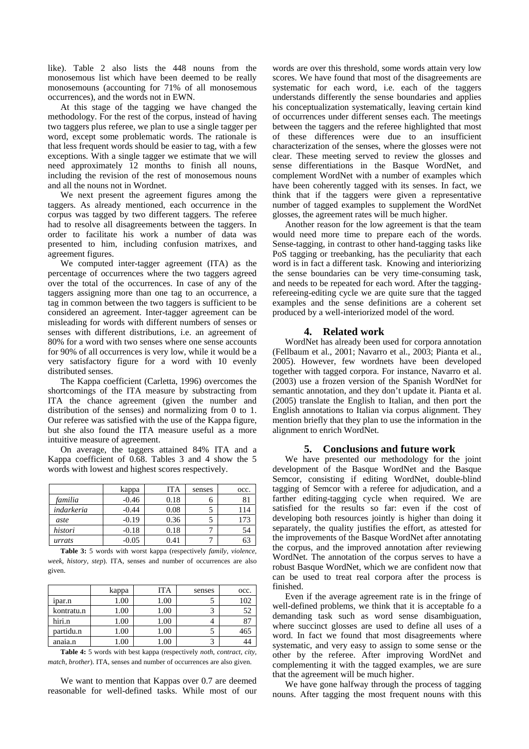like). Table 2 also lists the 448 nouns from the monosemous list which have been deemed to be really monosemouns (accounting for 71% of all monosemous occurrences), and the words not in EWN.

At this stage of the tagging we have changed the methodology. For the rest of the corpus, instead of having two taggers plus referee, we plan to use a single tagger per word, except some problematic words. The rationale is that less frequent words should be easier to tag, with a few exceptions. With a single tagger we estimate that we will need approximately 12 months to finish all nouns, including the revision of the rest of monosemous nouns and all the nouns not in Wordnet.

We next present the agreement figures among the taggers. As already mentioned, each occurrence in the corpus was tagged by two different taggers. The referee had to resolve all disagreements between the taggers. In order to facilitate his work a number of data was presented to him, including confusion matrixes, and agreement figures.

We computed inter-tagger agreement (ITA) as the percentage of occurrences where the two taggers agreed over the total of the occurrences. In case of any of the taggers assigning more than one tag to an occurrence, a tag in common between the two taggers is sufficient to be considered an agreement. Inter-tagger agreement can be misleading for words with different numbers of senses or senses with different distributions, i.e. an agreement of 80% for a word with two senses where one sense accounts for 90% of all occurrences is very low, while it would be a very satisfactory figure for a word with 10 evenly distributed senses.

The Kappa coefficient (Carletta, 1996) overcomes the shortcomings of the ITA measure by substracting from ITA the chance agreement (given the number and distribution of the senses) and normalizing from 0 to 1. Our referee was satisfied with the use of the Kappa figure, but she also found the ITA measure useful as a more intuitive measure of agreement.

On average, the taggers attained 84% ITA and a Kappa coefficient of 0.68. Tables 3 and 4 show the 5 words with lowest and highest scores respectively.

|            | kappa   | ITA  | senses | occ. |
|------------|---------|------|--------|------|
| familia    | $-0.46$ | 0.18 |        |      |
| indarkeria | $-0.44$ | 0.08 |        | 114  |
| aste       | $-0.19$ | 0.36 |        | 173  |
| histori    | $-0.18$ | 0.18 |        | 54   |
| urrats     | -0.05   | 0.41 |        |      |

**Table 3:** 5 words with worst kappa (respectively *family*, *violence*, *week*, *history*, *step*). ITA, senses and number of occurrences are also given.

|            | kappa | <b>ITA</b> | senses | occ. |
|------------|-------|------------|--------|------|
| 1par.n     | 1.00  | 1.00       |        | 102  |
| kontratu.n | 1.00  | 1.00       |        | 52   |
| hiri.n     | 1.00  | 1.00       |        |      |
| partidu.n  | 1.00  | 1.00       |        | 465  |
| anaia.n    | .00.  |            |        |      |

**Table 4:** 5 words with best kappa (respectively *noth*, *contract*, *city, match, brother*). ITA, senses and number of occurrences are also given.

We want to mention that Kappas over 0.7 are deemed reasonable for well-defined tasks. While most of our words are over this threshold, some words attain very low scores. We have found that most of the disagreements are systematic for each word, i.e. each of the taggers understands differently the sense boundaries and applies his conceptualization systematically, leaving certain kind of occurrences under different senses each. The meetings between the taggers and the referee highlighted that most of these differences were due to an insufficient characterization of the senses, where the glosses were not clear. These meeting served to review the glosses and sense differentiations in the Basque WordNet, and complement WordNet with a number of examples which have been coherently tagged with its senses. In fact, we think that if the taggers were given a representative number of tagged examples to supplement the WordNet glosses, the agreement rates will be much higher.

Another reason for the low agreement is that the team would need more time to prepare each of the words. Sense-tagging, in contrast to other hand-tagging tasks like PoS tagging or treebanking, has the peculiarity that each word is in fact a different task. Knowing and interiorizing the sense boundaries can be very time-consuming task, and needs to be repeated for each word. After the taggingrefereeing-editing cycle we are quite sure that the tagged examples and the sense definitions are a coherent set produced by a well-interiorized model of the word.

# **4. Related work**

WordNet has already been used for corpora annotation (Fellbaum et al., 2001; Navarro et al., 2003; Pianta et al., 2005). However, few wordnets have been developed together with tagged corpora. For instance, Navarro et al. (2003) use a frozen version of the Spanish WordNet for semantic annotation, and they don't update it. Pianta et al. (2005) translate the English to Italian, and then port the English annotations to Italian via corpus alignment. They mention briefly that they plan to use the information in the alignment to enrich WordNet.

# **5. Conclusions and future work**

We have presented our methodology for the joint development of the Basque WordNet and the Basque Semcor, consisting if editing WordNet, double-blind tagging of Semcor with a referee for adjudication, and a farther editing-tagging cycle when required. We are satisfied for the results so far: even if the cost of developing both resources jointly is higher than doing it separately, the quality justifies the effort, as attested for the improvements of the Basque WordNet after annotating the corpus, and the improved annotation after reviewing WordNet. The annotation of the corpus serves to have a robust Basque WordNet, which we are confident now that can be used to treat real corpora after the process is finished.

Even if the average agreement rate is in the fringe of well-defined problems, we think that it is acceptable fo a demanding task such as word sense disambiguation, where succinct glosses are used to define all uses of a word. In fact we found that most disagreements where systematic, and very easy to assign to some sense or the other by the referee. After improving WordNet and complementing it with the tagged examples, we are sure that the agreement will be much higher.

We have gone halfway through the process of tagging nouns. After tagging the most frequent nouns with this